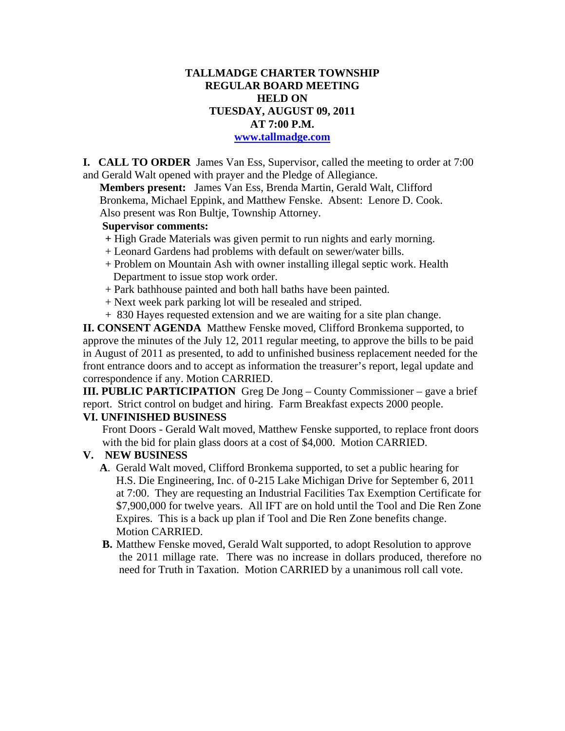# **TALLMADGE CHARTER TOWNSHIP REGULAR BOARD MEETING HELD ON TUESDAY, AUGUST 09, 2011 AT 7:00 P.M.**

#### **www.tallmadge.com**

**I. CALL TO ORDER** James Van Ess, Supervisor, called the meeting to order at 7:00 and Gerald Walt opened with prayer and the Pledge of Allegiance.

**Members present:** James Van Ess, Brenda Martin, Gerald Walt, Clifford Bronkema, Michael Eppink, and Matthew Fenske. Absent: Lenore D. Cook. Also present was Ron Bultje, Township Attorney.

## **Supervisor comments:**

- **+** High Grade Materials was given permit to run nights and early morning.
- + Leonard Gardens had problems with default on sewer/water bills.
- + Problem on Mountain Ash with owner installing illegal septic work. Health Department to issue stop work order.
- + Park bathhouse painted and both hall baths have been painted.
- + Next week park parking lot will be resealed and striped.
- + 830 Hayes requested extension and we are waiting for a site plan change.

**II. CONSENT AGENDA** Matthew Fenske moved, Clifford Bronkema supported, to approve the minutes of the July 12, 2011 regular meeting, to approve the bills to be paid in August of 2011 as presented, to add to unfinished business replacement needed for the front entrance doors and to accept as information the treasurer's report, legal update and correspondence if any. Motion CARRIED.

**III. PUBLIC PARTICIPATION** Greg De Jong – County Commissioner – gave a brief report. Strict control on budget and hiring. Farm Breakfast expects 2000 people.

### **VI. UNFINISHED BUSINESS**

Front Doors - Gerald Walt moved, Matthew Fenske supported, to replace front doors with the bid for plain glass doors at a cost of \$4,000. Motion CARRIED.

### **V. NEW BUSINESS**

- **A**. Gerald Walt moved, Clifford Bronkema supported, to set a public hearing for H.S. Die Engineering, Inc. of 0-215 Lake Michigan Drive for September 6, 2011 at 7:00. They are requesting an Industrial Facilities Tax Exemption Certificate for \$7,900,000 for twelve years. All IFT are on hold until the Tool and Die Ren Zone Expires. This is a back up plan if Tool and Die Ren Zone benefits change. Motion CARRIED.
- **B.** Matthew Fenske moved, Gerald Walt supported, to adopt Resolution to approve the 2011 millage rate. There was no increase in dollars produced, therefore no need for Truth in Taxation. Motion CARRIED by a unanimous roll call vote.